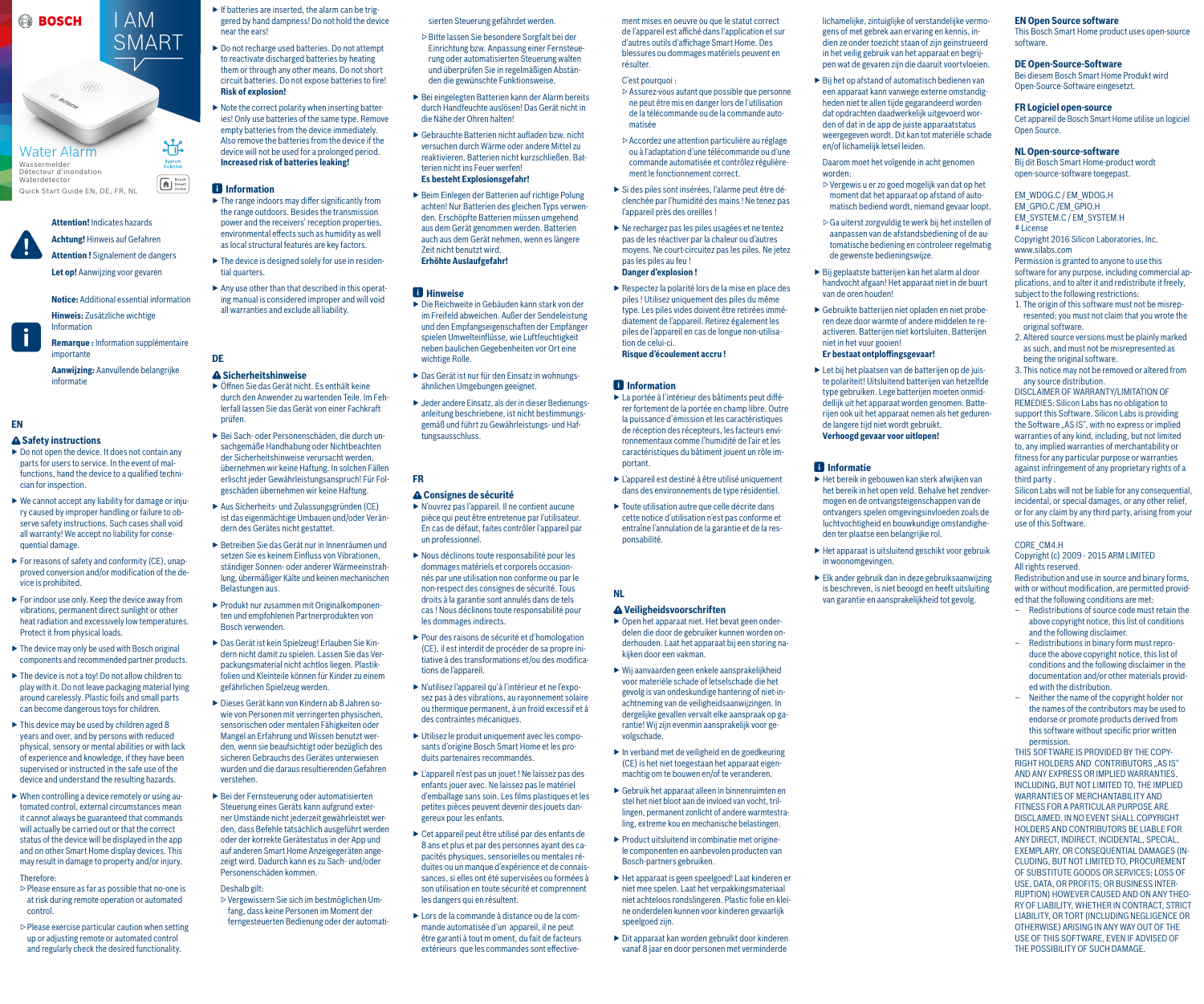#### **EN Open Source software**

This Bosch Smart Home product uses open-source software.

#### **DE Open-Source-Software**

Bei diesem Bosch Smart Home Produkt wird Open-Source-Software eingesetzt.

#### **FR Logiciel open-source**

Cet appareil de Bosch Smart Home utilise un logiciel Open Source.

#### **NL Open-source-software**

Bij dit Bosch Smart Home-product wordt open-source-software toegepast.

#### EM\_WDOG.C / EM\_WDOG.H

EM\_GPIO.C /EM\_GPIO.H EM\_SYSTEM.C / EM\_SYSTEM.H # License

Copyright 2016 Silicon Laboratories, Inc. www.silabs.com

Permission is granted to anyone to use this software for any purpose, including commercial applications, and to alter it and redistribute it freely, subject to the following restrictions:

- 1. The origin of this software must not be misrepresented; you must not claim that you wrote the original software.
- 2. Altered source versions must be plainly marked as such, and must not be misrepresented as being the original software.
- 3. This notice may not be removed or altered from any source distribution.

DISCLAIMER OF WARRANTY/LIMITATION OF REMEDIES: Silicon Labs has no obligation to support this Software. Silicon Labs is providing the Software "AS IS", with no express or implied warranties of any kind, including, but not limited to, any implied warranties of merchantability or fitness for any particular purpose or warranties against infringement of any proprietary rights of a third party .

Silicon Labs will not be liable for any consequential, incidental, or special damages, or any other relief, or for any claim by any third party, arising from your use of this Software.

#### CORE\_CM4.H

Copyright (c) 2009 - 2015 ARM LIMITED All rights reserved.

Redistribution and use in source and binary forms, with or without modification, are permitted provided that the following conditions are met:

- Redistributions of source code must retain the above copyright notice, this list of conditions and the following disclaimer.
- Redistributions in binary form must reproduce the above copyright notice, this list of conditions and the following disclaimer in the documentation and/or other materials provided with the distribution.
- Neither the name of the copyright holder nor the names of the contributors may be used to endorse or promote products derived from this software without specific prior written permission.

THIS SOFTWARE IS PROVIDED BY THE COPY-RIGHT HOLDERS AND CONTRIBUTORS "AS IS" AND ANY EXPRESS OR IMPLIED WARRANTIES, INCLUDING, BUT NOT LIMITED TO, THE IMPLIED WARRANTIES OF MERCHANTABILITY AND FITNESS FOR A PARTICULAR PURPOSE ARE DISCLAIMED. IN NO EVENT SHALL COPYRIGHT HOLDERS AND CONTRIBUTORS BE LIABLE FOR ANY DIRECT, INDIRECT, INCIDENTAL, SPECIAL, EXEMPLARY, OR CONSEQUENTIAL DAMAGES (IN-CLUDING, BUT NOT LIMITED TO, PROCUREMENT OF SUBSTITUTE GOODS OR SERVICES; LOSS OF USE, DATA, OR PROFITS; OR BUSINESS INTER-RUPTION) HOWEVER CAUSED AND ON ANY THEO-RY OF LIABILITY, WHETHER IN CONTRACT, STRICT LIABILITY, OR TORT (INCLUDING NEGLIGENCE OR OTHERWISE) ARISING IN ANY WAY OUT OF THE USE OF THIS SOFTWARE, EVEN IF ADVISED OF THE POSSIBILITY OF SUCH DAMAGE.

sierten Steuerung gefährdet werden.

- ▷ Bitte lassen Sie besondere Sorgfalt bei der Einrichtung bzw. Anpassung einer Fernsteuerung oder automatisierten Steuerung walten und überprüfen Sie in regelmäßigen Abständen die gewünschte Funktionsweise.
- ▶ Bei eingelegten Batterien kann der Alarm bereits durch Handfeuchte auslösen! Das Gerät nicht in die Nähe der Ohren halten!
- ▶ Gebrauchte Batterien nicht aufladen bzw. nicht versuchen durch Wärme oder andere Mittel zu reaktivieren. Batterien nicht kurzschließen. Batterien nicht ins Feuer werfen! **Es besteht Explosionsgefahr!**
- ▶ Beim Einlegen der Batterien auf richtige Polung achten! Nur Batterien des gleichen Typs verwenden. Erschöpfte Batterien müssen umgehend aus dem Gerät genommen werden. Batterien auch aus dem Gerät nehmen, wenn es längere Zeit nicht benutzt wird. **Erhöhte Auslaufgefahr!**

## *<u>Hinweise</u>*

- ▶ Die Reichweite in Gebäuden kann stark von der im Freifeld abweichen. Außer der Sendeleistung und den Empfangseigenschaften der Empfänger spielen Umwelteinflüsse, wie Luftfeuchtigkeit neben baulichen Gegebenheiten vor Ort eine wichtige Rolle.
- ▶ Das Gerät ist nur für den Einsatz in wohnungsähnlichen Umgebungen geeignet.
- ▶ Jeder andere Einsatz, als der in dieser Bedienungsanleitung beschriebene, ist nicht bestimmungsgemäß und führt zu Gewährleistungs- und Haftungsausschluss.

## **FR**

## **Consignes de sécurité**

- ▶ Open het apparaat niet. Het bevat geen onderdelen die door de gebruiker kunnen worden onderhouden. Laat het apparaat bij een storing nakijken door een vakman.
- ▶ Wij aanvaarden geen enkele aansprakelijkheid voor materiële schade of letselschade die het gevolg is van ondeskundige hantering of niet-inachtneming van de veiligheidsaanwijzingen. In dergelijke gevallen vervalt elke aanspraak op garantie! Wij zijn evenmin aansprakelijk voor gevolgschade.
- $\blacktriangleright$  In verband met de veiligheid en de goedkeuring  $(CF)$  is het niet toegestaan het apparaat eigenmachtig om te bouwen en/of te veranderen.
- ▶ Gebruik het apparaat alleen in binnenruimten en stel het niet bloot aan de invloed van vocht, trillingen, permanent zonlicht of andere warmtestraling, extreme kou en mechanische belastingen.
- ▶ Product uitsluitend in combinatie met originele componenten en aanbevolen producten van Bosch-partners gebruiken.
- ▶ Het apparaat is geen speelgoed! Laat kinderen er niet mee spelen. Laat het verpakkingsmateriaal niet achteloos rondslingeren. Plastic folie en kleine onderdelen kunnen voor kinderen gevaarlijk speelgoed zijn.
- ▶ Dit apparaat kan worden gebruikt door kinderen vanaf 8 jaar en door personen met verminderde

 $\triangleright$  Bij het op afstand of automatisch bedienen van een apparaat kann vanwege externe omstandigheden niet te allen tijde gegarandeerd worden dat opdrachten daadwerkelijk uitgevoerd worden of dat in de app de juiste apparaatstatus weergegeven wordt. Dit kan tot materiële schade en/of lichamelijk letsel leiden.

 $\blacktriangleright$  Bij geplaatste batterijen kan het alarm al door handvocht afgaan! Het apparaat niet in de buurt

- ▶ N'ouvrez pas l'appareil. Il ne contient aucune pièce qui peut être entretenue par l'utilisateur. En cas de défaut, faites contrôler l'appareil par un professionnel.
- ▶ Nous déclinons toute responsabilité pour les dommages matériels et corporels occasionnés par une utilisation non conforme ou par le non-respect des consignes de sécurité. Tous droits à la garantie sont annulés dans de tels cas ! Nous déclinons toute responsabilité pour les dommages indirects.
- ▶ Pour des raisons de sécurité et d'homologation (CE), il est interdit de procéder de sa propre initiative à des transformations et/ou des modifications de l'appareil.
- ▶ N'utilisez l'appareil qu'à l'intérieur et ne l'exposez pas à des vibrations, au rayonnement solaire ou thermique permanent, à un froid excessif et à des contraintes mécaniques.
- ▶ Utilisez le produit uniquement avec les composants d'origine Bosch Smart Home et les produits partenaires recommandés.
- ▶ L'appareil n'est pas un jouet ! Ne laissez pas des enfants jouer avec. Ne laissez pas le matériel d'emballage sans soin. Les films plastiques et les petites pièces peuvent devenir des jouets dangereux pour les enfants.
- ▶ Cet appareil peut être utilisé par des enfants de 8 ans et plus et par des personnes ayant des capacités physiques, sensorielles ou mentales réduites ou un manque d'expérience et de connaissances, si elles ont été supervisées ou formées à son utilisation en toute sécurité et comprennent les dangers qui en résultent.
- ▶ Lors de la commande à distance ou de la commande automatisée d'un appareil, il ne peut être garanti à tout m oment, du fait de facteurs extérieurs que les commandes sont effective-

ment mises en oeuvre ou que le statut correct de l'appareil est affiché dans l'application et sur d'autres outils d'affichage Smart Home. Des blessures ou dommages matériels peuvent en résulter.

#### C'est pourquoi :

- $\triangleright$  Do not open the device. It does not contain any parts for users to service. In the event of malfunctions, hand the device to a qualified technician for inspection.
- ▶ We cannot accept any liability for damage or injury caused by improper handling or failure to observe safety instructions. Such cases shall void all warranty! We accept no liability for consequential damage.
- ▶ For reasons of safety and conformity (CE), unapproved conversion and/or modification of the device is prohibited.
- $\blacktriangleright$  For indoor use only. Keep the device away from vibrations, permanent direct sunlight or other heat radiation and excessively low temperatures. Protect it from physical loads.
- $\blacktriangleright$  The device may only be used with Bosch original components and recommended partner products.
- $\triangleright$  The device is not a toy! Do not allow children to play with it. Do not leave packaging material lying around carelessly. Plastic foils and small parts can become dangerous toys for children.
- $\blacktriangleright$  This device may be used by children aged 8 years and over, and by persons with reduced physical, sensory or mental abilities or with lack of experience and knowledge, if they have been supervised or instructed in the safe use of the device and understand the resulting hazards.
- $\triangleright$  When controlling a device remotely or using automated control, external circumstances mean it cannot always be guaranteed that commands will actually be carried out or that the correct status of the device will be displayed in the app and on other Smart Home display devices. This may result in damage to property and/or injury.

#### Therefore.

- ▷ Assurez-vous autant que possible que personne ne peut être mis en danger lors de l'utilisation de la télécommande ou de la commande automatisée
- ▷ Accordez une attention particulière au réglage ou à l'adaptation d'une télécommande ou d'une commande automatisée et contrôlez régulièrement le fonctionnement correct.
- ▶ Si des piles sont insérées, l'alarme peut être déclenchée par l'humidité des mains ! Ne tenez pas l'appareil près des oreilles !
- ▶ Ne rechargez pas les piles usagées et ne tentez pas de les réactiver par la chaleur ou d'autres moyens. Ne court-circuitez pas les piles. Ne jetez pas les piles au feu ! **Danger d'explosion !**
- ▶ Respectez la polarité lors de la mise en place des piles ! Utilisez uniquement des piles du même type. Les piles vides doivent être retirées immédiatement de l'appareil. Retirez également les piles de l'appareil en cas de longue non-utilisation de celui-ci. **Risque d'écoulement accru !**

## *<u><b>* Information</u>

- $\blacktriangleright$  If batteries are inserted, the alarm can be triggered by hand dampness! Do not hold the device near the ears!
- ▶ Do not recharge used batteries. Do not attempt to reactivate discharged batteries by heating them or through any other means. Do not short circuit batteries. Do not expose batteries to fire! **Risk of explosion!**
- $\triangleright$  Note the correct polarity when inserting batteries! Only use batteries of the same type. Remove empty batteries from the device immediately. Also remove the batteries from the device if the device will not be used for a prolonged period. **Increased risk of batteries leaking!**

## *<u><b>f* Information</u>

- $\blacktriangleright$  The range indoors may differ significantly from the range outdoors. Besides the transmission power and the receivers' reception properties, environmental effects such as humidity as well as local structural features are key factors.
- $\blacktriangleright$  The device is designed solely for use in residential quarters.
- $\triangleright$  Any use other than that described in this operating manual is considered improper and will void all warranties and exclude all liability.

- ▶ La portée à l'intérieur des bâtiments peut différer fortement de la portée en champ libre. Outre la puissance d'émission et les caractéristiques de réception des récepteurs, les facteurs environnementaux comme l'humidité de l'air et les caractéristiques du bâtiment jouent un rôle important.
- ▶ L'appareil est destiné à être utilisé uniquement dans des environnements de type résidentiel.
- ▶ Toute utilisation autre que celle décrite dans cette notice d'utilisation n'est pas conforme et entraîne l'annulation de la garantie et de la responsabilité.

## **NL**

## **Veiligheidsvoorschriften**

lichamelijke, zintuiglijke of verstandelijke vermogens of met gebrek aan ervaring en kennis, indien ze onder toezicht staan of zijn geïnstrueerd in het veilig gebruik van het apparaat en begrijpen wat de gevaren zijn die daaruit voortvloeien.

 Daarom moet het volgende in acht genomen worden:

▷ Vergewis u er zo goed mogelijk van dat op het moment dat het apparaat op afstand of automatisch bediend wordt, niemand gevaar loopt.

aanpassen van de afstandsbediening of de automatische bediening en controleer regelmatig

▶ Gebruikte batterijen niet opladen en niet probe-

- ▷ Ga uiterst zorgvuldig te werk bij het instellen of
	- de gewenste bedieningswijze.
- van de oren houden!
	- ren deze door warmte of andere middelen te reactiveren. Batterijen niet kortsluiten. Batterijen niet in het vuur gooien! **Er bestaat ontploffingsgevaar!**
	- ▶ Let bij het plaatsen van de batterijen op de juiste polariteit! Uitsluitend batterijen van hetzelfde type gebruiken. Lege batterijen moeten onmiddellijk uit het apparaat worden genomen. Batterijen ook uit het apparaat nemen als het gedurende langere tijd niet wordt gebruikt. **Verhoogd gevaar voor uitlopen!**

#### **Informatie**

- ▶ Het bereik in gebouwen kan sterk afwijken van het bereik in het open veld. Behalve het zendvermogen en de ontvangsteigenschappen van de ontvangers spelen omgevingsinvloeden zoals de luchtvochtigheid en bouwkundige omstandigheden ter plaatse een belangrijke rol.
- ▶ Het apparaat is uitsluitend geschikt voor gebruik in woonomgevingen.
- $\blacktriangleright$  Elk ander gebruik dan in deze gebruiksaanwijzing is beschreven, is niet beoogd en heeft uitsluiting van garantie en aansprakelijkheid tot gevolg.

# **EN**

## **Safety instructions**

- ▷ Please ensure as far as possible that no-one is at risk during remote operation or automated control.
- $\triangleright$  Please exercise particular caution when setting up or adjusting remote or automated control and regularly check the desired functionality.

## **Attention!** Indicates hazards **Achtung!** Hinweis auf Gefahren

**Attention !** Signalement de dangers **Let op!** Aanwijzing voor gevaren

**Notice:** Additional essential information

**Hinweis:** Zusätzliche wichtige Information

**Remarque :** Information supplémentaire importante

**Aanwijzing:** Aanvullende belangrijke informatie

# **DE**

## **Sicherheitshinweise**



- ▶ Öffnen Sie das Gerät nicht. Es enthält keine durch den Anwender zu wartenden Teile. Im Fehlerfall lassen Sie das Gerät von einer Fachkraft prüfen.
- ▶ Bei Sach- oder Personenschäden, die durch unsachgemäße Handhabung oder Nichtbeachten der Sicherheitshinweise verursacht werden, übernehmen wir keine Haftung. In solchen Fällen erlischt jeder Gewährleistungsanspruch! Für Folgeschäden übernehmen wir keine Haftung.
- ▶ Aus Sicherheits- und Zulassungsgründen (CE) ist das eigenmächtige Umbauen und/oder Verändern des Gerätes nicht gestattet.
- ▶ Betreiben Sie das Gerät nur in Innenräumen und setzen Sie es keinem Einfluss von Vibrationen, ständiger Sonnen- oder anderer Wärmeeinstrahlung, übermäßiger Kälte und keinen mechanischen Belastungen aus.
- ▶ Produkt nur zusammen mit Originalkomponenten und empfohlenen Partnerprodukten von Bosch verwenden.
- ▶ Das Gerät ist kein Spielzeug! Erlauben Sie Kindern nicht damit zu spielen. Lassen Sie das Verpackungsmaterial nicht achtlos liegen. Plastikfolien und Kleinteile können für Kinder zu einem gefährlichen Spielzeug werden.
- ▶ Dieses Gerät kann von Kindern ab 8 Jahren sowie von Personen mit verringerten physischen, sensorischen oder mentalen Fähigkeiten oder Mangel an Erfahrung und Wissen benutzt werden, wenn sie beaufsichtigt oder bezüglich des sicheren Gebrauchs des Gerätes unterwiesen wurden und die daraus resultierenden Gefahren verstehen.
- ▶ Bei der Fernsteuerung oder automatisierten Steuerung eines Geräts kann aufgrund externer Umstände nicht jederzeit gewährleistet werden, dass Befehle tatsächlich ausgeführt werden oder der korrekte Gerätestatus in der App und auf anderen Smart Home Anzeigegeräten angezeigt wird. Dadurch kann es zu Sach- und/oder Personenschäden kommen.

#### Deshalb gilt:

▷ Vergewissern Sie sich im bestmöglichen Umfang, dass keine Personen im Moment der ferngesteuerten Bedienung oder der automati-